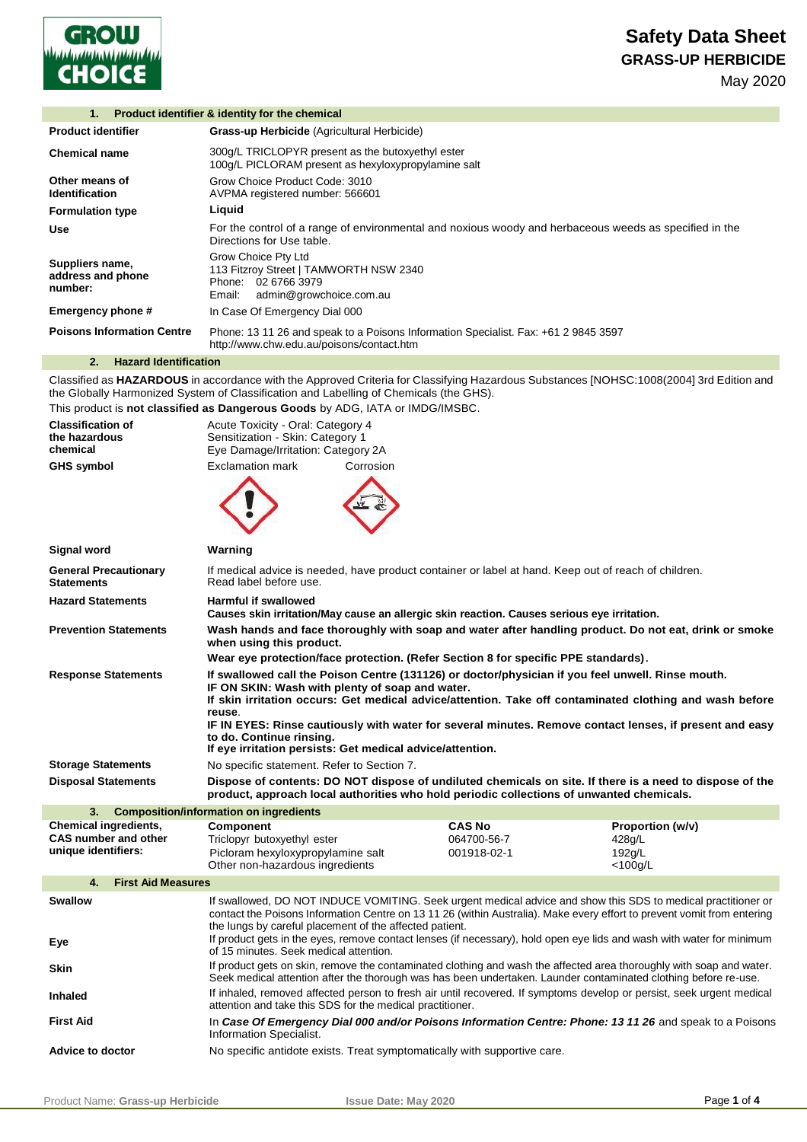

| 1.                                              | Product identifier & identity for the chemical                                                                                      |
|-------------------------------------------------|-------------------------------------------------------------------------------------------------------------------------------------|
| <b>Product identifier</b>                       | Grass-up Herbicide (Agricultural Herbicide)                                                                                         |
| Chemical name                                   | 300g/L TRICLOPYR present as the butoxyethyl ester<br>100g/L PICLORAM present as hexyloxypropylamine salt                            |
| Other means of<br>Identification                | Grow Choice Product Code: 3010<br>AVPMA registered number: 566601                                                                   |
| <b>Formulation type</b>                         | Liquid                                                                                                                              |
| Use                                             | For the control of a range of environmental and noxious woody and herbaceous weeds as specified in the<br>Directions for Use table. |
| Suppliers name,<br>address and phone<br>number: | Grow Choice Pty Ltd<br>113 Fitzroy Street   TAMWORTH NSW 2340<br>Phone: 02 6766 3979<br>admin@growchoice.com.au<br>Email:           |
| Emergency phone #                               | In Case Of Emergency Dial 000                                                                                                       |
| <b>Poisons Information Centre</b>               | Phone: 13 11 26 and speak to a Poisons Information Specialist. Fax: +61 2 9845 3597<br>http://www.chw.edu.au/poisons/contact.htm    |
|                                                 |                                                                                                                                     |

## **2. Hazard Identification**

Classified as **HAZARDOUS** in accordance with the Approved Criteria for Classifying Hazardous Substances [NOHSC:1008(2004] 3rd Edition and the Globally Harmonized System of Classification and Labelling of Chemicals (the GHS).

|  |  |  |  |  |  |  | This product is not classified as Dangerous Goods by ADG, IATA or IMDG/IMSBC. |
|--|--|--|--|--|--|--|-------------------------------------------------------------------------------|
|--|--|--|--|--|--|--|-------------------------------------------------------------------------------|

| <b>Classification of</b><br>the hazardous          | Acute Toxicity - Oral: Category 4<br>Sensitization - Skin: Category 1                                                                                                                                                                                           |               |                      |  |
|----------------------------------------------------|-----------------------------------------------------------------------------------------------------------------------------------------------------------------------------------------------------------------------------------------------------------------|---------------|----------------------|--|
| chemical                                           | Eye Damage/Irritation: Category 2A                                                                                                                                                                                                                              |               |                      |  |
| <b>GHS symbol</b>                                  | <b>Exclamation mark</b><br>Corrosion                                                                                                                                                                                                                            |               |                      |  |
|                                                    |                                                                                                                                                                                                                                                                 |               |                      |  |
| Signal word                                        | Warning                                                                                                                                                                                                                                                         |               |                      |  |
| <b>General Precautionary</b><br><b>Statements</b>  | If medical advice is needed, have product container or label at hand. Keep out of reach of children.<br>Read label before use.                                                                                                                                  |               |                      |  |
| <b>Hazard Statements</b>                           | <b>Harmful if swallowed</b><br>Causes skin irritation/May cause an allergic skin reaction. Causes serious eye irritation.                                                                                                                                       |               |                      |  |
| <b>Prevention Statements</b>                       | Wash hands and face thoroughly with soap and water after handling product. Do not eat, drink or smoke<br>when using this product.                                                                                                                               |               |                      |  |
|                                                    | Wear eye protection/face protection. (Refer Section 8 for specific PPE standards).                                                                                                                                                                              |               |                      |  |
| <b>Response Statements</b>                         | If swallowed call the Poison Centre (131126) or doctor/physician if you feel unwell. Rinse mouth.<br>IF ON SKIN: Wash with plenty of soap and water.<br>If skin irritation occurs: Get medical advice/attention. Take off contaminated clothing and wash before |               |                      |  |
|                                                    | reuse.<br>IF IN EYES: Rinse cautiously with water for several minutes. Remove contact lenses, if present and easy<br>to do. Continue rinsing.                                                                                                                   |               |                      |  |
|                                                    | If eye irritation persists: Get medical advice/attention.                                                                                                                                                                                                       |               |                      |  |
| <b>Storage Statements</b>                          | No specific statement. Refer to Section 7.                                                                                                                                                                                                                      |               |                      |  |
| <b>Disposal Statements</b>                         | Dispose of contents: DO NOT dispose of undiluted chemicals on site. If there is a need to dispose of the<br>product, approach local authorities who hold periodic collections of unwanted chemicals.                                                            |               |                      |  |
| 3.                                                 | <b>Composition/information on ingredients</b>                                                                                                                                                                                                                   |               |                      |  |
| <b>Chemical ingredients,</b>                       | <b>Component</b>                                                                                                                                                                                                                                                | <b>CAS No</b> | Proportion (w/v)     |  |
| <b>CAS number and other</b><br>unique identifiers: | Triclopyr butoxyethyl ester                                                                                                                                                                                                                                     | 064700-56-7   | 428q/L               |  |
|                                                    | Picloram hexyloxypropylamine salt<br>Other non-hazardous ingredients                                                                                                                                                                                            | 001918-02-1   | 192q/L<br>$<$ 100g/L |  |
| 4.<br><b>First Aid Measures</b>                    |                                                                                                                                                                                                                                                                 |               |                      |  |
| <b>Swallow</b>                                     | If swallowed, DO NOT INDUCE VOMITING. Seek urgent medical advice and show this SDS to medical practitioner or<br>contact the Poisons Information Centre on 13 11 26 (within Australia). Make every effort to prevent vomit from entering                        |               |                      |  |
| Eye                                                | the lungs by careful placement of the affected patient.<br>If product gets in the eyes, remove contact lenses (if necessary), hold open eye lids and wash with water for minimum<br>of 15 minutes. Seek medical attention.                                      |               |                      |  |
| <b>Skin</b>                                        | If product gets on skin, remove the contaminated clothing and wash the affected area thoroughly with soap and water.<br>Seek medical attention after the thorough was has been undertaken. Launder contaminated clothing before re-use.                         |               |                      |  |
| <b>Inhaled</b>                                     | If inhaled, removed affected person to fresh air until recovered. If symptoms develop or persist, seek urgent medical<br>attention and take this SDS for the medical practitioner.                                                                              |               |                      |  |
| <b>First Aid</b>                                   | In Case Of Emergency Dial 000 and/or Poisons Information Centre: Phone: 13 11 26 and speak to a Poisons<br>Information Specialist.                                                                                                                              |               |                      |  |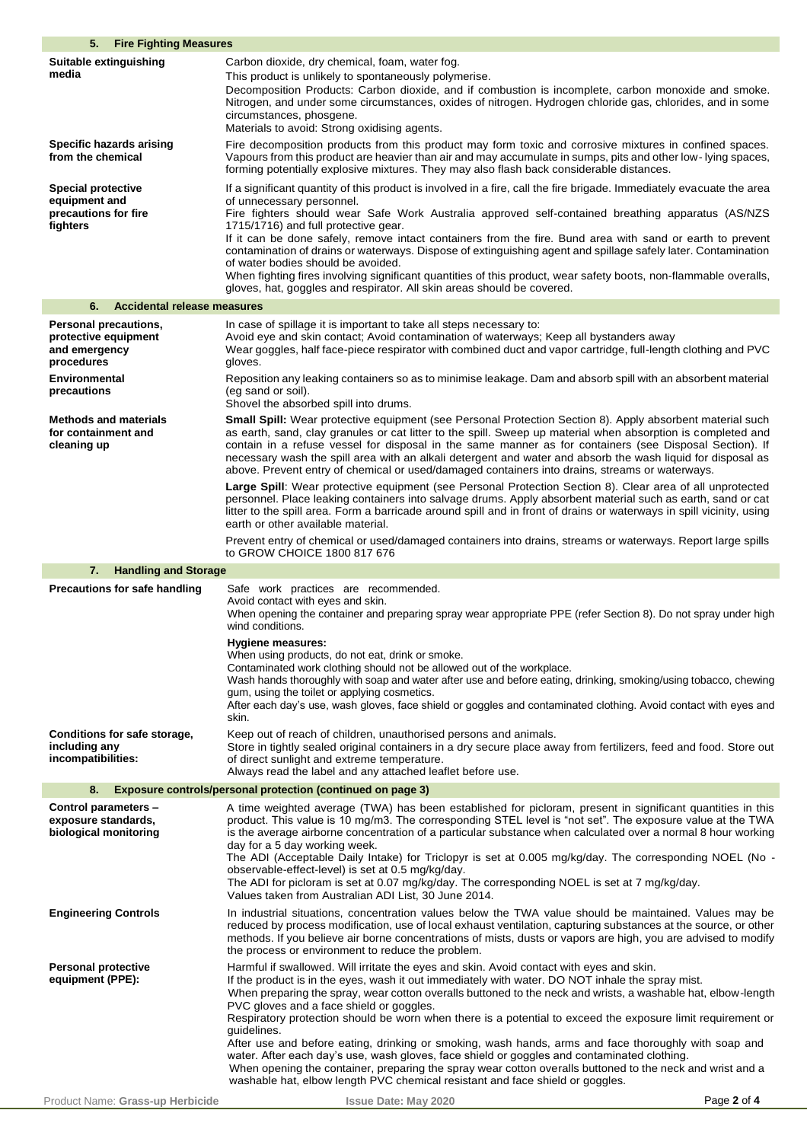| 5.<br><b>Fire Fighting Measures</b>                                                                                 |                                                                                                                                                                                                                                                                                                                                                                                                                                                                                                                                                                                                                                                                                                                                                                                                            |
|---------------------------------------------------------------------------------------------------------------------|------------------------------------------------------------------------------------------------------------------------------------------------------------------------------------------------------------------------------------------------------------------------------------------------------------------------------------------------------------------------------------------------------------------------------------------------------------------------------------------------------------------------------------------------------------------------------------------------------------------------------------------------------------------------------------------------------------------------------------------------------------------------------------------------------------|
| Suitable extinguishing<br>media                                                                                     | Carbon dioxide, dry chemical, foam, water fog.<br>This product is unlikely to spontaneously polymerise.<br>Decomposition Products: Carbon dioxide, and if combustion is incomplete, carbon monoxide and smoke.<br>Nitrogen, and under some circumstances, oxides of nitrogen. Hydrogen chloride gas, chlorides, and in some<br>circumstances, phosgene.<br>Materials to avoid: Strong oxidising agents.                                                                                                                                                                                                                                                                                                                                                                                                    |
| Specific hazards arising<br>from the chemical                                                                       | Fire decomposition products from this product may form toxic and corrosive mixtures in confined spaces.<br>Vapours from this product are heavier than air and may accumulate in sumps, pits and other low- lying spaces,<br>forming potentially explosive mixtures. They may also flash back considerable distances.                                                                                                                                                                                                                                                                                                                                                                                                                                                                                       |
| <b>Special protective</b><br>equipment and<br>precautions for fire<br>fighters                                      | If a significant quantity of this product is involved in a fire, call the fire brigade. Immediately evacuate the area<br>of unnecessary personnel.<br>Fire fighters should wear Safe Work Australia approved self-contained breathing apparatus (AS/NZS<br>1715/1716) and full protective gear.<br>If it can be done safely, remove intact containers from the fire. Bund area with sand or earth to prevent<br>contamination of drains or waterways. Dispose of extinguishing agent and spillage safely later. Contamination<br>of water bodies should be avoided.<br>When fighting fires involving significant quantities of this product, wear safety boots, non-flammable overalls,<br>gloves, hat, goggles and respirator. All skin areas should be covered.                                          |
| <b>Accidental release measures</b><br>6.                                                                            |                                                                                                                                                                                                                                                                                                                                                                                                                                                                                                                                                                                                                                                                                                                                                                                                            |
| <b>Personal precautions,</b><br>protective equipment<br>and emergency<br>procedures<br>Environmental<br>precautions | In case of spillage it is important to take all steps necessary to:<br>Avoid eye and skin contact; Avoid contamination of waterways; Keep all bystanders away<br>Wear goggles, half face-piece respirator with combined duct and vapor cartridge, full-length clothing and PVC<br>gloves.<br>Reposition any leaking containers so as to minimise leakage. Dam and absorb spill with an absorbent material<br>(eg sand or soil).<br>Shovel the absorbed spill into drums.                                                                                                                                                                                                                                                                                                                                   |
| <b>Methods and materials</b><br>for containment and<br>cleaning up                                                  | Small Spill: Wear protective equipment (see Personal Protection Section 8). Apply absorbent material such<br>as earth, sand, clay granules or cat litter to the spill. Sweep up material when absorption is completed and<br>contain in a refuse vessel for disposal in the same manner as for containers (see Disposal Section). If<br>necessary wash the spill area with an alkali detergent and water and absorb the wash liquid for disposal as<br>above. Prevent entry of chemical or used/damaged containers into drains, streams or waterways.                                                                                                                                                                                                                                                      |
|                                                                                                                     | Large Spill: Wear protective equipment (see Personal Protection Section 8). Clear area of all unprotected<br>personnel. Place leaking containers into salvage drums. Apply absorbent material such as earth, sand or cat<br>litter to the spill area. Form a barricade around spill and in front of drains or waterways in spill vicinity, using<br>earth or other available material.                                                                                                                                                                                                                                                                                                                                                                                                                     |
|                                                                                                                     | Prevent entry of chemical or used/damaged containers into drains, streams or waterways. Report large spills<br>to GROW CHOICE 1800 817 676                                                                                                                                                                                                                                                                                                                                                                                                                                                                                                                                                                                                                                                                 |
| <b>Handling and Storage</b><br>7.                                                                                   |                                                                                                                                                                                                                                                                                                                                                                                                                                                                                                                                                                                                                                                                                                                                                                                                            |
| Precautions for safe handling                                                                                       | Safe work practices are recommended.<br>Avoid contact with eyes and skin.<br>When opening the container and preparing spray wear appropriate PPE (refer Section 8). Do not spray under high<br>wind conditions.<br>Hygiene measures:<br>When using products, do not eat, drink or smoke.<br>Contaminated work clothing should not be allowed out of the workplace.<br>Wash hands thoroughly with soap and water after use and before eating, drinking, smoking/using tobacco, chewing<br>gum, using the toilet or applying cosmetics.<br>After each day's use, wash gloves, face shield or goggles and contaminated clothing. Avoid contact with eyes and<br>skin.                                                                                                                                         |
| Conditions for safe storage,<br>including any<br>incompatibilities:                                                 | Keep out of reach of children, unauthorised persons and animals.<br>Store in tightly sealed original containers in a dry secure place away from fertilizers, feed and food. Store out<br>of direct sunlight and extreme temperature.<br>Always read the label and any attached leaflet before use.                                                                                                                                                                                                                                                                                                                                                                                                                                                                                                         |
| 8.                                                                                                                  | <b>Exposure controls/personal protection (continued on page 3)</b>                                                                                                                                                                                                                                                                                                                                                                                                                                                                                                                                                                                                                                                                                                                                         |
| Control parameters -<br>exposure standards,<br>biological monitoring                                                | A time weighted average (TWA) has been established for picloram, present in significant quantities in this<br>product. This value is 10 mg/m3. The corresponding STEL level is "not set". The exposure value at the TWA<br>is the average airborne concentration of a particular substance when calculated over a normal 8 hour working<br>day for a 5 day working week.<br>- The ADI (Acceptable Daily Intake) for Triclopyr is set at 0.005 mg/kg/day. The corresponding NOEL (No<br>observable-effect-level) is set at 0.5 mg/kg/day.<br>The ADI for picloram is set at 0.07 mg/kg/day. The corresponding NOEL is set at 7 mg/kg/day.<br>Values taken from Australian ADI List, 30 June 2014.                                                                                                           |
| <b>Engineering Controls</b>                                                                                         | In industrial situations, concentration values below the TWA value should be maintained. Values may be<br>reduced by process modification, use of local exhaust ventilation, capturing substances at the source, or other<br>methods. If you believe air borne concentrations of mists, dusts or vapors are high, you are advised to modify<br>the process or environment to reduce the problem.                                                                                                                                                                                                                                                                                                                                                                                                           |
| <b>Personal protective</b><br>equipment (PPE):                                                                      | Harmful if swallowed. Will irritate the eyes and skin. Avoid contact with eyes and skin.<br>If the product is in the eyes, wash it out immediately with water. DO NOT inhale the spray mist.<br>When preparing the spray, wear cotton overalls buttoned to the neck and wrists, a washable hat, elbow-length<br>PVC gloves and a face shield or goggles.<br>Respiratory protection should be worn when there is a potential to exceed the exposure limit requirement or<br>quidelines.<br>After use and before eating, drinking or smoking, wash hands, arms and face thoroughly with soap and<br>water. After each day's use, wash gloves, face shield or goggles and contaminated clothing.<br>When opening the container, preparing the spray wear cotton overalls buttoned to the neck and wrist and a |
| Product Name: Grass-up Herbicide                                                                                    | washable hat, elbow length PVC chemical resistant and face shield or goggles.<br>Page 2 of 4<br><b>Issue Date: May 2020</b>                                                                                                                                                                                                                                                                                                                                                                                                                                                                                                                                                                                                                                                                                |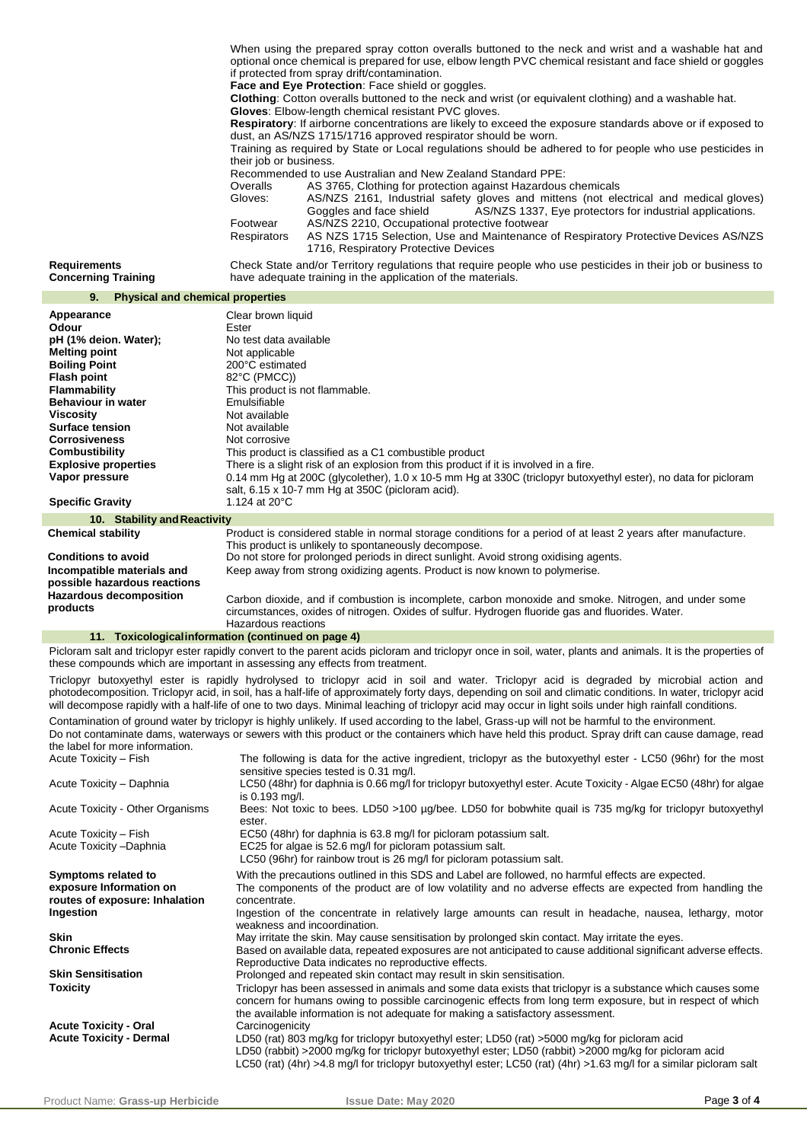When using the prepared spray cotton overalls buttoned to the neck and wrist and a washable hat and optional once chemical is prepared for use, elbow length PVC chemical resistant and face shield or goggles if protected from spray drift/contamination.

**Face and Eye Protection**: Face shield or goggles.

**Clothing**: Cotton overalls buttoned to the neck and wrist (or equivalent clothing) and a washable hat.

**Gloves**: Elbow-length chemical resistant PVC gloves.

**Respiratory**: If airborne concentrations are likely to exceed the exposure standards above or if exposed to dust, an AS/NZS 1715/1716 approved respirator should be worn.

Training as required by State or Local regulations should be adhered to for people who use pesticides in their job or business.

Recommended to use Australian and New Zealand Standard PPE:

| Overalls    | AS 3765, Clothing for protection against Hazardous chemicals                          |
|-------------|---------------------------------------------------------------------------------------|
| Gloves:     | AS/NZS 2161, Industrial safety gloves and mittens (not electrical and medical gloves) |
|             | AS/NZS 1337, Eye protectors for industrial applications.<br>Goggles and face shield   |
| Footwear    | AS/NZS 2210, Occupational protective footwear                                         |
| Respirators | AS NZS 1715 Selection, Use and Maintenance of Respiratory Protective Devices AS/NZS   |
|             | 1716, Respiratory Protective Devices                                                  |

**Requirements Concerning Training** Check State and/or Territory regulations that require people who use pesticides in their job or business to have adequate training in the application of the materials.

| <b>Physical and chemical properties</b><br>9.                                                                                                                                                                                                                                                                   |                                                                                                                                                                                                                                                                                                                                                                                                                                                                                      |
|-----------------------------------------------------------------------------------------------------------------------------------------------------------------------------------------------------------------------------------------------------------------------------------------------------------------|--------------------------------------------------------------------------------------------------------------------------------------------------------------------------------------------------------------------------------------------------------------------------------------------------------------------------------------------------------------------------------------------------------------------------------------------------------------------------------------|
| Appearance<br>Odour<br>pH (1% deion. Water);<br><b>Melting point</b><br><b>Boiling Point</b><br><b>Flash point</b><br>Flammability<br><b>Behaviour in water</b><br><b>Viscosity</b><br><b>Surface tension</b><br><b>Corrosiveness</b><br><b>Combustibility</b><br><b>Explosive properties</b><br>Vapor pressure | Clear brown liquid<br>Ester<br>No test data available<br>Not applicable<br>200°C estimated<br>82°C (PMCC))<br>This product is not flammable.<br>Emulsifiable<br>Not available<br>Not available<br>Not corrosive<br>This product is classified as a C1 combustible product<br>There is a slight risk of an explosion from this product if it is involved in a fire.<br>0.14 mm Hg at 200C (glycolether), 1.0 x 10-5 mm Hg at 330C (triclopyr butoxyethyl ester), no data for picloram |
| <b>Specific Gravity</b>                                                                                                                                                                                                                                                                                         | salt, 6.15 x 10-7 mm Hg at 350C (picloram acid).<br>1.124 at 20°C                                                                                                                                                                                                                                                                                                                                                                                                                    |
| 10. Stability and Reactivity                                                                                                                                                                                                                                                                                    |                                                                                                                                                                                                                                                                                                                                                                                                                                                                                      |
| <b>Chemical stability</b><br><b>Conditions to avoid</b><br>Incompatible materials and<br>possible hazardous reactions<br><b>Hazardous decomposition</b>                                                                                                                                                         | Product is considered stable in normal storage conditions for a period of at least 2 years after manufacture.<br>This product is unlikely to spontaneously decompose.<br>Do not store for prolonged periods in direct sunlight. Avoid strong oxidising agents.<br>Keep away from strong oxidizing agents. Product is now known to polymerise.<br>Carbon dioxide, and if combustion is incomplete, carbon monoxide and smoke. Nitrogen, and under some                                |
| products                                                                                                                                                                                                                                                                                                        | circumstances, oxides of nitrogen. Oxides of sulfur. Hydrogen fluoride gas and fluorides. Water.<br>Hazardous reactions<br>11. Toxicological information (continued on page 4)                                                                                                                                                                                                                                                                                                       |
|                                                                                                                                                                                                                                                                                                                 |                                                                                                                                                                                                                                                                                                                                                                                                                                                                                      |

Picloram salt and triclopyr ester rapidly convert to the parent acids picloram and triclopyr once in soil, water, plants and animals. It is the properties of these compounds which are important in assessing any effects from treatment.

Triclopyr butoxyethyl ester is rapidly hydrolysed to triclopyr acid in soil and water. Triclopyr acid is degraded by microbial action and photodecomposition. Triclopyr acid, in soil, has a half-life of approximately forty days, depending on soil and climatic conditions. In water, triclopyr acid will decompose rapidly with a half-life of one to two days. Minimal leaching of triclopyr acid may occur in light soils under high rainfall conditions.

Contamination of ground water by triclopyr is highly unlikely. If used according to the label, Grass-up will not be harmful to the environment. Do not contaminate dams, waterways or sewers with this product or the containers which have held this product. Spray drift can cause damage, read the label for more information.<br>Acute Toxicity - Fish The following is data for the active ingredient, triclopyr as the butoxyethyl ester - LC50 (96hr) for the most

|                                                                                  | sensitive species tested is 0.31 mg/l.                                                                                                                                                                                                                                                                                          |
|----------------------------------------------------------------------------------|---------------------------------------------------------------------------------------------------------------------------------------------------------------------------------------------------------------------------------------------------------------------------------------------------------------------------------|
| Acute Toxicity - Daphnia                                                         | LC50 (48hr) for daphnia is 0.66 mg/l for triclopyr butoxyethyl ester. Acute Toxicity - Algae EC50 (48hr) for algae<br>is $0.193$ mg/l.                                                                                                                                                                                          |
| Acute Toxicity - Other Organisms                                                 | Bees: Not toxic to bees. LD50 >100 µg/bee. LD50 for bobwhite quail is 735 mg/kg for triclopyr butoxyethyl<br>ester.                                                                                                                                                                                                             |
| Acute Toxicity - Fish                                                            | EC50 (48hr) for daphnia is 63.8 mg/l for picloram potassium salt.                                                                                                                                                                                                                                                               |
| Acute Toxicity - Daphnia                                                         | EC25 for algae is 52.6 mg/l for picloram potassium salt.<br>LC50 (96hr) for rainbow trout is 26 mg/l for picloram potassium salt.                                                                                                                                                                                               |
| Symptoms related to<br>exposure Information on<br>routes of exposure: Inhalation | With the precautions outlined in this SDS and Label are followed, no harmful effects are expected.<br>The components of the product are of low volatility and no adverse effects are expected from handling the<br>concentrate.                                                                                                 |
| Ingestion                                                                        | Ingestion of the concentrate in relatively large amounts can result in headache, nausea, lethargy, motor<br>weakness and incoordination.                                                                                                                                                                                        |
| <b>Skin</b>                                                                      | May irritate the skin. May cause sensitisation by prolonged skin contact. May irritate the eyes.                                                                                                                                                                                                                                |
| <b>Chronic Effects</b>                                                           | Based on available data, repeated exposures are not anticipated to cause additional significant adverse effects.<br>Reproductive Data indicates no reproductive effects.                                                                                                                                                        |
| <b>Skin Sensitisation</b>                                                        | Prolonged and repeated skin contact may result in skin sensitisation.                                                                                                                                                                                                                                                           |
| <b>Toxicity</b>                                                                  | Triclopyr has been assessed in animals and some data exists that triclopyr is a substance which causes some<br>concern for humans owing to possible carcinogenic effects from long term exposure, but in respect of which<br>the available information is not adequate for making a satisfactory assessment.                    |
| <b>Acute Toxicity - Oral</b>                                                     | Carcinogenicity                                                                                                                                                                                                                                                                                                                 |
| <b>Acute Toxicity - Dermal</b>                                                   | LD50 (rat) 803 mg/kg for triclopyr butoxyethyl ester; LD50 (rat) >5000 mg/kg for picloram acid<br>LD50 (rabbit) >2000 mg/kg for triclopyr butoxyethyl ester; LD50 (rabbit) >2000 mg/kg for picloram acid<br>LC50 (rat) (4hr) >4.8 mg/l for triclopyr butoxyethyl ester; LC50 (rat) (4hr) >1.63 mg/l for a similar picloram salt |
|                                                                                  |                                                                                                                                                                                                                                                                                                                                 |